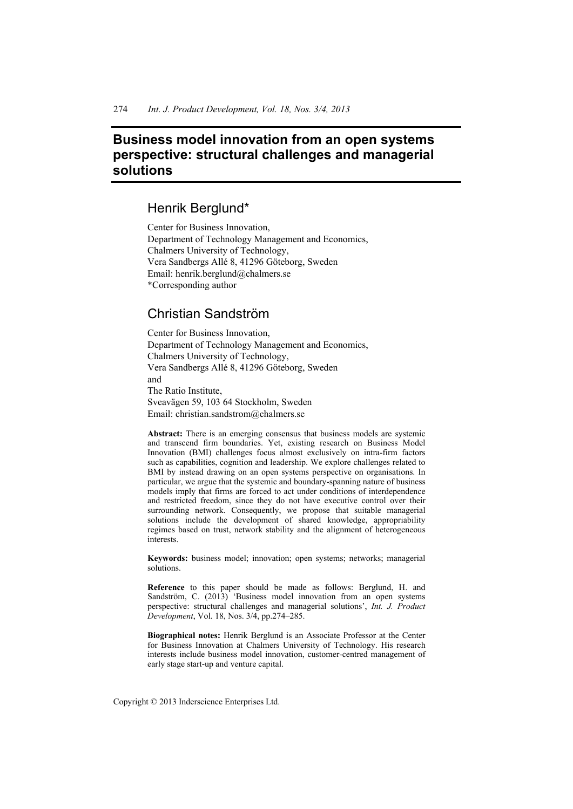# **Business model innovation from an open systems perspective: structural challenges and managerial solutions**

# Henrik Berglund\*

Center for Business Innovation, Department of Technology Management and Economics, Chalmers University of Technology, Vera Sandbergs Allé 8, 41296 Göteborg, Sweden Email: henrik.berglund@chalmers.se \*Corresponding author

# Christian Sandström

Center for Business Innovation, Department of Technology Management and Economics, Chalmers University of Technology, Vera Sandbergs Allé 8, 41296 Göteborg, Sweden and The Ratio Institute, Sveavägen 59, 103 64 Stockholm, Sweden Email: christian.sandstrom@chalmers.se

**Abstract:** There is an emerging consensus that business models are systemic and transcend firm boundaries. Yet, existing research on Business Model Innovation (BMI) challenges focus almost exclusively on intra-firm factors such as capabilities, cognition and leadership. We explore challenges related to BMI by instead drawing on an open systems perspective on organisations. In particular, we argue that the systemic and boundary-spanning nature of business models imply that firms are forced to act under conditions of interdependence and restricted freedom, since they do not have executive control over their surrounding network. Consequently, we propose that suitable managerial solutions include the development of shared knowledge, appropriability regimes based on trust, network stability and the alignment of heterogeneous interests.

**Keywords:** business model; innovation; open systems; networks; managerial solutions.

**Reference** to this paper should be made as follows: Berglund, H. and Sandström, C. (2013) 'Business model innovation from an open systems perspective: structural challenges and managerial solutions', *Int. J. Product Development*, Vol. 18, Nos. 3/4, pp.274–285.

**Biographical notes:** Henrik Berglund is an Associate Professor at the Center for Business Innovation at Chalmers University of Technology. His research interests include business model innovation, customer-centred management of early stage start-up and venture capital.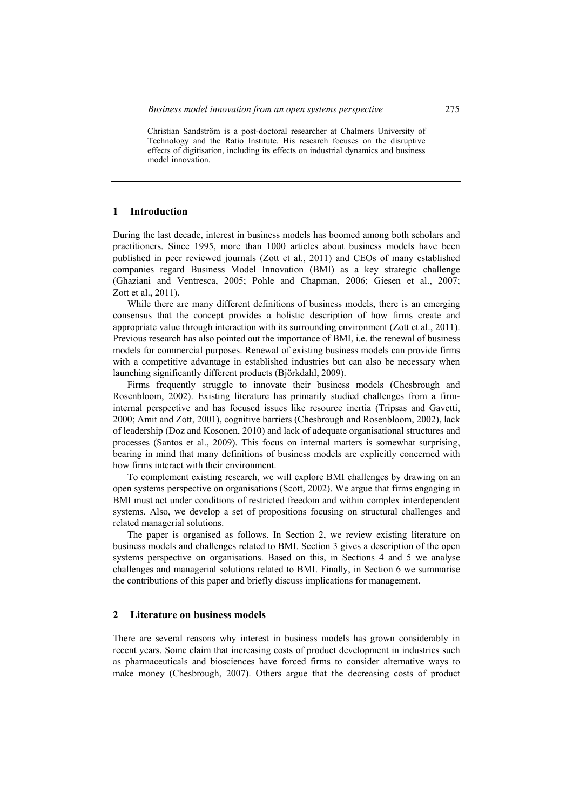Christian Sandström is a post-doctoral researcher at Chalmers University of Technology and the Ratio Institute. His research focuses on the disruptive effects of digitisation, including its effects on industrial dynamics and business model innovation.

# **1 Introduction**

During the last decade, interest in business models has boomed among both scholars and practitioners. Since 1995, more than 1000 articles about business models have been published in peer reviewed journals (Zott et al., 2011) and CEOs of many established companies regard Business Model Innovation (BMI) as a key strategic challenge (Ghaziani and Ventresca, 2005; Pohle and Chapman, 2006; Giesen et al., 2007; Zott et al., 2011).

While there are many different definitions of business models, there is an emerging consensus that the concept provides a holistic description of how firms create and appropriate value through interaction with its surrounding environment (Zott et al., 2011). Previous research has also pointed out the importance of BMI, i.e. the renewal of business models for commercial purposes. Renewal of existing business models can provide firms with a competitive advantage in established industries but can also be necessary when launching significantly different products (Björkdahl, 2009).

Firms frequently struggle to innovate their business models (Chesbrough and Rosenbloom, 2002). Existing literature has primarily studied challenges from a firminternal perspective and has focused issues like resource inertia (Tripsas and Gavetti, 2000; Amit and Zott, 2001), cognitive barriers (Chesbrough and Rosenbloom, 2002), lack of leadership (Doz and Kosonen, 2010) and lack of adequate organisational structures and processes (Santos et al., 2009). This focus on internal matters is somewhat surprising, bearing in mind that many definitions of business models are explicitly concerned with how firms interact with their environment.

To complement existing research, we will explore BMI challenges by drawing on an open systems perspective on organisations (Scott, 2002). We argue that firms engaging in BMI must act under conditions of restricted freedom and within complex interdependent systems. Also, we develop a set of propositions focusing on structural challenges and related managerial solutions.

The paper is organised as follows. In Section 2, we review existing literature on business models and challenges related to BMI. Section 3 gives a description of the open systems perspective on organisations. Based on this, in Sections 4 and 5 we analyse challenges and managerial solutions related to BMI. Finally, in Section 6 we summarise the contributions of this paper and briefly discuss implications for management.

## **2 Literature on business models**

There are several reasons why interest in business models has grown considerably in recent years. Some claim that increasing costs of product development in industries such as pharmaceuticals and biosciences have forced firms to consider alternative ways to make money (Chesbrough, 2007). Others argue that the decreasing costs of product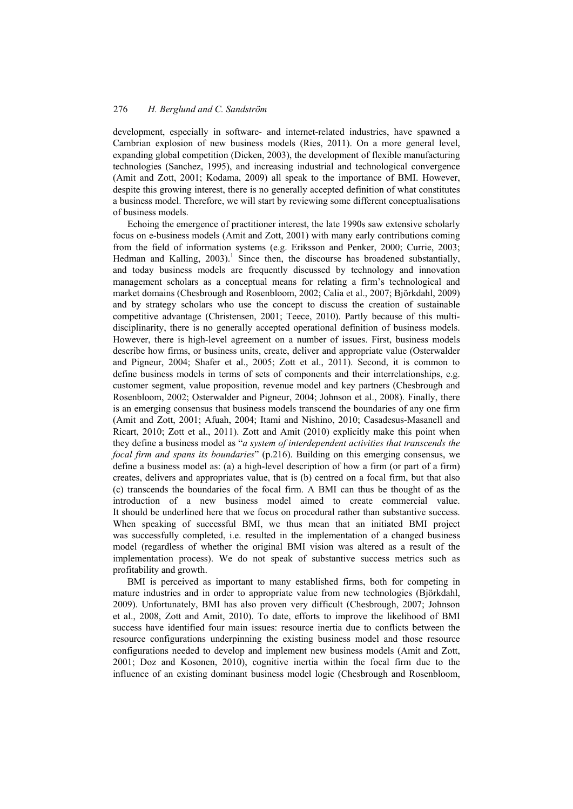development, especially in software- and internet-related industries, have spawned a Cambrian explosion of new business models (Ries, 2011). On a more general level, expanding global competition (Dicken, 2003), the development of flexible manufacturing technologies (Sanchez, 1995), and increasing industrial and technological convergence (Amit and Zott, 2001; Kodama, 2009) all speak to the importance of BMI. However, despite this growing interest, there is no generally accepted definition of what constitutes a business model. Therefore, we will start by reviewing some different conceptualisations of business models.

Echoing the emergence of practitioner interest, the late 1990s saw extensive scholarly focus on e-business models (Amit and Zott, 2001) with many early contributions coming from the field of information systems (e.g. Eriksson and Penker, 2000; Currie, 2003; Hedman and Kalling,  $2003$ .<sup>1</sup> Since then, the discourse has broadened substantially, and today business models are frequently discussed by technology and innovation management scholars as a conceptual means for relating a firm's technological and market domains (Chesbrough and Rosenbloom, 2002; Calia et al., 2007; Björkdahl, 2009) and by strategy scholars who use the concept to discuss the creation of sustainable competitive advantage (Christensen, 2001; Teece, 2010). Partly because of this multidisciplinarity, there is no generally accepted operational definition of business models. However, there is high-level agreement on a number of issues. First, business models describe how firms, or business units, create, deliver and appropriate value (Osterwalder and Pigneur, 2004; Shafer et al., 2005; Zott et al., 2011). Second, it is common to define business models in terms of sets of components and their interrelationships, e.g. customer segment, value proposition, revenue model and key partners (Chesbrough and Rosenbloom, 2002; Osterwalder and Pigneur, 2004; Johnson et al., 2008). Finally, there is an emerging consensus that business models transcend the boundaries of any one firm (Amit and Zott, 2001; Afuah, 2004; Itami and Nishino, 2010; Casadesus-Masanell and Ricart, 2010; Zott et al., 2011). Zott and Amit (2010) explicitly make this point when they define a business model as "*a system of interdependent activities that transcends the focal firm and spans its boundaries*" (p.216). Building on this emerging consensus, we define a business model as: (a) a high-level description of how a firm (or part of a firm) creates, delivers and appropriates value, that is (b) centred on a focal firm, but that also (c) transcends the boundaries of the focal firm. A BMI can thus be thought of as the introduction of a new business model aimed to create commercial value. It should be underlined here that we focus on procedural rather than substantive success. When speaking of successful BMI, we thus mean that an initiated BMI project was successfully completed, i.e. resulted in the implementation of a changed business model (regardless of whether the original BMI vision was altered as a result of the implementation process). We do not speak of substantive success metrics such as profitability and growth.

BMI is perceived as important to many established firms, both for competing in mature industries and in order to appropriate value from new technologies (Björkdahl, 2009). Unfortunately, BMI has also proven very difficult (Chesbrough, 2007; Johnson et al., 2008, Zott and Amit, 2010). To date, efforts to improve the likelihood of BMI success have identified four main issues: resource inertia due to conflicts between the resource configurations underpinning the existing business model and those resource configurations needed to develop and implement new business models (Amit and Zott, 2001; Doz and Kosonen, 2010), cognitive inertia within the focal firm due to the influence of an existing dominant business model logic (Chesbrough and Rosenbloom,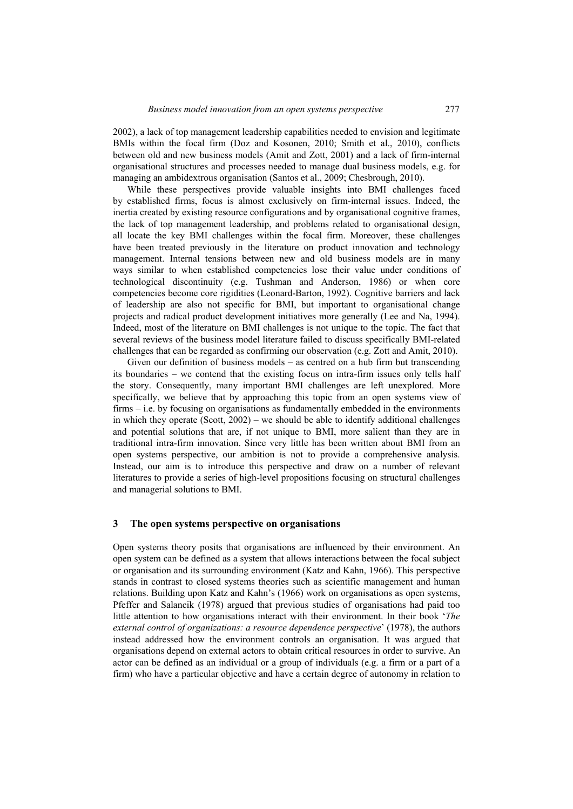2002), a lack of top management leadership capabilities needed to envision and legitimate BMIs within the focal firm (Doz and Kosonen, 2010; Smith et al., 2010), conflicts between old and new business models (Amit and Zott, 2001) and a lack of firm-internal organisational structures and processes needed to manage dual business models, e.g. for managing an ambidextrous organisation (Santos et al., 2009; Chesbrough, 2010).

While these perspectives provide valuable insights into BMI challenges faced by established firms, focus is almost exclusively on firm-internal issues. Indeed, the inertia created by existing resource configurations and by organisational cognitive frames, the lack of top management leadership, and problems related to organisational design, all locate the key BMI challenges within the focal firm. Moreover, these challenges have been treated previously in the literature on product innovation and technology management. Internal tensions between new and old business models are in many ways similar to when established competencies lose their value under conditions of technological discontinuity (e.g. Tushman and Anderson, 1986) or when core competencies become core rigidities (Leonard-Barton, 1992). Cognitive barriers and lack of leadership are also not specific for BMI, but important to organisational change projects and radical product development initiatives more generally (Lee and Na, 1994). Indeed, most of the literature on BMI challenges is not unique to the topic. The fact that several reviews of the business model literature failed to discuss specifically BMI-related challenges that can be regarded as confirming our observation (e.g. Zott and Amit, 2010).

Given our definition of business models – as centred on a hub firm but transcending its boundaries – we contend that the existing focus on intra-firm issues only tells half the story. Consequently, many important BMI challenges are left unexplored. More specifically, we believe that by approaching this topic from an open systems view of firms – i.e. by focusing on organisations as fundamentally embedded in the environments in which they operate (Scott, 2002) – we should be able to identify additional challenges and potential solutions that are, if not unique to BMI, more salient than they are in traditional intra-firm innovation. Since very little has been written about BMI from an open systems perspective, our ambition is not to provide a comprehensive analysis. Instead, our aim is to introduce this perspective and draw on a number of relevant literatures to provide a series of high-level propositions focusing on structural challenges and managerial solutions to BMI.

### **3 The open systems perspective on organisations**

Open systems theory posits that organisations are influenced by their environment. An open system can be defined as a system that allows interactions between the focal subject or organisation and its surrounding environment (Katz and Kahn, 1966). This perspective stands in contrast to closed systems theories such as scientific management and human relations. Building upon Katz and Kahn's (1966) work on organisations as open systems, Pfeffer and Salancik (1978) argued that previous studies of organisations had paid too little attention to how organisations interact with their environment. In their book '*The external control of organizations: a resource dependence perspective*' (1978), the authors instead addressed how the environment controls an organisation. It was argued that organisations depend on external actors to obtain critical resources in order to survive. An actor can be defined as an individual or a group of individuals (e.g. a firm or a part of a firm) who have a particular objective and have a certain degree of autonomy in relation to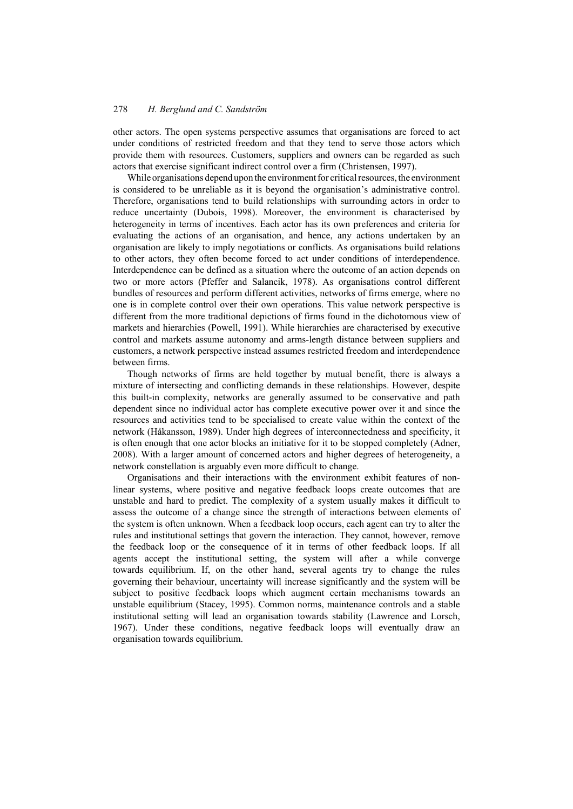other actors. The open systems perspective assumes that organisations are forced to act under conditions of restricted freedom and that they tend to serve those actors which provide them with resources. Customers, suppliers and owners can be regarded as such actors that exercise significant indirect control over a firm (Christensen, 1997).

While organisations depend upon the environment for critical resources, the environment is considered to be unreliable as it is beyond the organisation's administrative control. Therefore, organisations tend to build relationships with surrounding actors in order to reduce uncertainty (Dubois, 1998). Moreover, the environment is characterised by heterogeneity in terms of incentives. Each actor has its own preferences and criteria for evaluating the actions of an organisation, and hence, any actions undertaken by an organisation are likely to imply negotiations or conflicts. As organisations build relations to other actors, they often become forced to act under conditions of interdependence. Interdependence can be defined as a situation where the outcome of an action depends on two or more actors (Pfeffer and Salancik, 1978). As organisations control different bundles of resources and perform different activities, networks of firms emerge, where no one is in complete control over their own operations. This value network perspective is different from the more traditional depictions of firms found in the dichotomous view of markets and hierarchies (Powell, 1991). While hierarchies are characterised by executive control and markets assume autonomy and arms-length distance between suppliers and customers, a network perspective instead assumes restricted freedom and interdependence between firms.

Though networks of firms are held together by mutual benefit, there is always a mixture of intersecting and conflicting demands in these relationships. However, despite this built-in complexity, networks are generally assumed to be conservative and path dependent since no individual actor has complete executive power over it and since the resources and activities tend to be specialised to create value within the context of the network (Håkansson, 1989). Under high degrees of interconnectedness and specificity, it is often enough that one actor blocks an initiative for it to be stopped completely (Adner, 2008). With a larger amount of concerned actors and higher degrees of heterogeneity, a network constellation is arguably even more difficult to change.

Organisations and their interactions with the environment exhibit features of nonlinear systems, where positive and negative feedback loops create outcomes that are unstable and hard to predict. The complexity of a system usually makes it difficult to assess the outcome of a change since the strength of interactions between elements of the system is often unknown. When a feedback loop occurs, each agent can try to alter the rules and institutional settings that govern the interaction. They cannot, however, remove the feedback loop or the consequence of it in terms of other feedback loops. If all agents accept the institutional setting, the system will after a while converge towards equilibrium. If, on the other hand, several agents try to change the rules governing their behaviour, uncertainty will increase significantly and the system will be subject to positive feedback loops which augment certain mechanisms towards an unstable equilibrium (Stacey, 1995). Common norms, maintenance controls and a stable institutional setting will lead an organisation towards stability (Lawrence and Lorsch, 1967). Under these conditions, negative feedback loops will eventually draw an organisation towards equilibrium.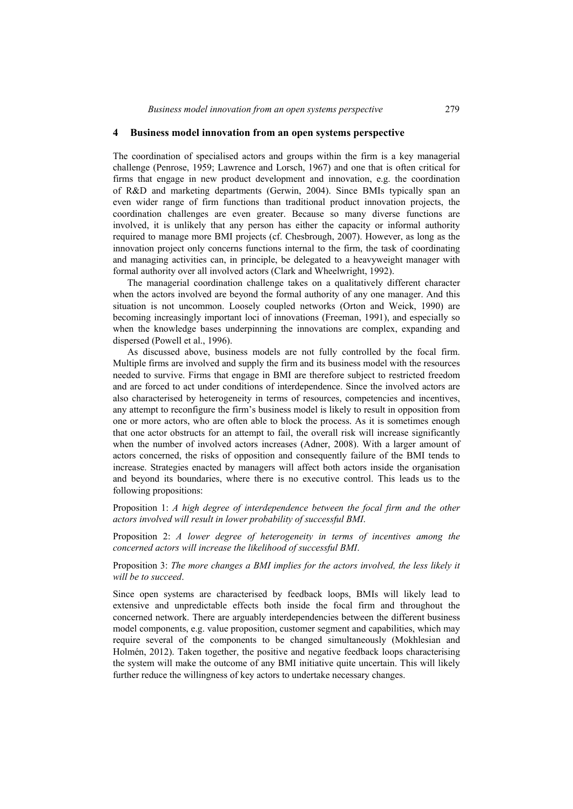#### **4 Business model innovation from an open systems perspective**

The coordination of specialised actors and groups within the firm is a key managerial challenge (Penrose, 1959; Lawrence and Lorsch, 1967) and one that is often critical for firms that engage in new product development and innovation, e.g. the coordination of R&D and marketing departments (Gerwin, 2004). Since BMIs typically span an even wider range of firm functions than traditional product innovation projects, the coordination challenges are even greater. Because so many diverse functions are involved, it is unlikely that any person has either the capacity or informal authority required to manage more BMI projects (cf. Chesbrough, 2007). However, as long as the innovation project only concerns functions internal to the firm, the task of coordinating and managing activities can, in principle, be delegated to a heavyweight manager with formal authority over all involved actors (Clark and Wheelwright, 1992).

The managerial coordination challenge takes on a qualitatively different character when the actors involved are beyond the formal authority of any one manager. And this situation is not uncommon. Loosely coupled networks (Orton and Weick, 1990) are becoming increasingly important loci of innovations (Freeman, 1991), and especially so when the knowledge bases underpinning the innovations are complex, expanding and dispersed (Powell et al., 1996).

As discussed above, business models are not fully controlled by the focal firm. Multiple firms are involved and supply the firm and its business model with the resources needed to survive. Firms that engage in BMI are therefore subject to restricted freedom and are forced to act under conditions of interdependence. Since the involved actors are also characterised by heterogeneity in terms of resources, competencies and incentives, any attempt to reconfigure the firm's business model is likely to result in opposition from one or more actors, who are often able to block the process. As it is sometimes enough that one actor obstructs for an attempt to fail, the overall risk will increase significantly when the number of involved actors increases (Adner, 2008). With a larger amount of actors concerned, the risks of opposition and consequently failure of the BMI tends to increase. Strategies enacted by managers will affect both actors inside the organisation and beyond its boundaries, where there is no executive control. This leads us to the following propositions:

Proposition 1: *A high degree of interdependence between the focal firm and the other actors involved will result in lower probability of successful BMI*.

Proposition 2: *A lower degree of heterogeneity in terms of incentives among the concerned actors will increase the likelihood of successful BMI*.

Proposition 3: *The more changes a BMI implies for the actors involved, the less likely it will be to succeed*.

Since open systems are characterised by feedback loops, BMIs will likely lead to extensive and unpredictable effects both inside the focal firm and throughout the concerned network. There are arguably interdependencies between the different business model components, e.g. value proposition, customer segment and capabilities, which may require several of the components to be changed simultaneously (Mokhlesian and Holmén, 2012). Taken together, the positive and negative feedback loops characterising the system will make the outcome of any BMI initiative quite uncertain. This will likely further reduce the willingness of key actors to undertake necessary changes.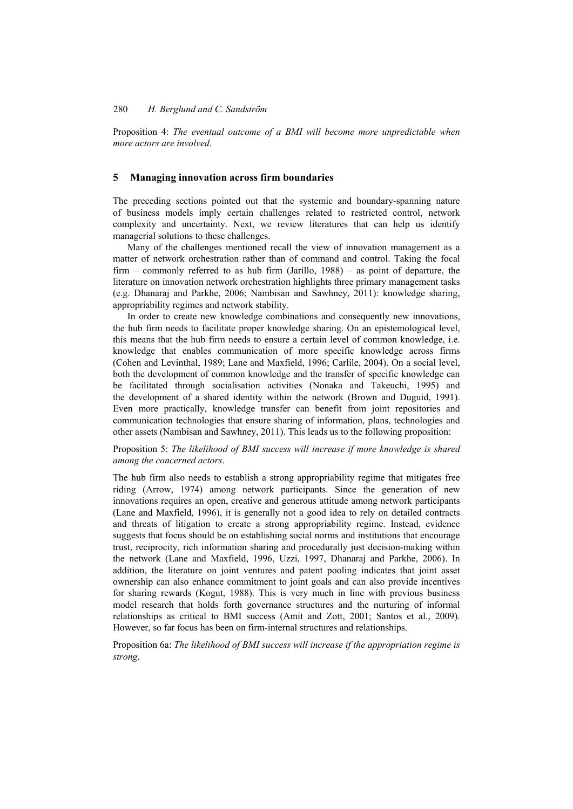Proposition 4: *The eventual outcome of a BMI will become more unpredictable when more actors are involved*.

### **5 Managing innovation across firm boundaries**

The preceding sections pointed out that the systemic and boundary-spanning nature of business models imply certain challenges related to restricted control, network complexity and uncertainty. Next, we review literatures that can help us identify managerial solutions to these challenges.

Many of the challenges mentioned recall the view of innovation management as a matter of network orchestration rather than of command and control. Taking the focal firm – commonly referred to as hub firm (Jarillo, 1988) – as point of departure, the literature on innovation network orchestration highlights three primary management tasks (e.g. Dhanaraj and Parkhe, 2006; Nambisan and Sawhney, 2011): knowledge sharing, appropriability regimes and network stability.

In order to create new knowledge combinations and consequently new innovations, the hub firm needs to facilitate proper knowledge sharing. On an epistemological level, this means that the hub firm needs to ensure a certain level of common knowledge, i.e. knowledge that enables communication of more specific knowledge across firms (Cohen and Levinthal, 1989; Lane and Maxfield, 1996; Carlile, 2004). On a social level, both the development of common knowledge and the transfer of specific knowledge can be facilitated through socialisation activities (Nonaka and Takeuchi, 1995) and the development of a shared identity within the network (Brown and Duguid, 1991). Even more practically, knowledge transfer can benefit from joint repositories and communication technologies that ensure sharing of information, plans, technologies and other assets (Nambisan and Sawhney, 2011). This leads us to the following proposition:

# Proposition 5: *The likelihood of BMI success will increase if more knowledge is shared among the concerned actors*.

The hub firm also needs to establish a strong appropriability regime that mitigates free riding (Arrow, 1974) among network participants. Since the generation of new innovations requires an open, creative and generous attitude among network participants (Lane and Maxfield, 1996), it is generally not a good idea to rely on detailed contracts and threats of litigation to create a strong appropriability regime. Instead, evidence suggests that focus should be on establishing social norms and institutions that encourage trust, reciprocity, rich information sharing and procedurally just decision-making within the network (Lane and Maxfield, 1996, Uzzi, 1997, Dhanaraj and Parkhe, 2006). In addition, the literature on joint ventures and patent pooling indicates that joint asset ownership can also enhance commitment to joint goals and can also provide incentives for sharing rewards (Kogut, 1988). This is very much in line with previous business model research that holds forth governance structures and the nurturing of informal relationships as critical to BMI success (Amit and Zott, 2001; Santos et al., 2009). However, so far focus has been on firm-internal structures and relationships.

Proposition 6a: *The likelihood of BMI success will increase if the appropriation regime is strong*.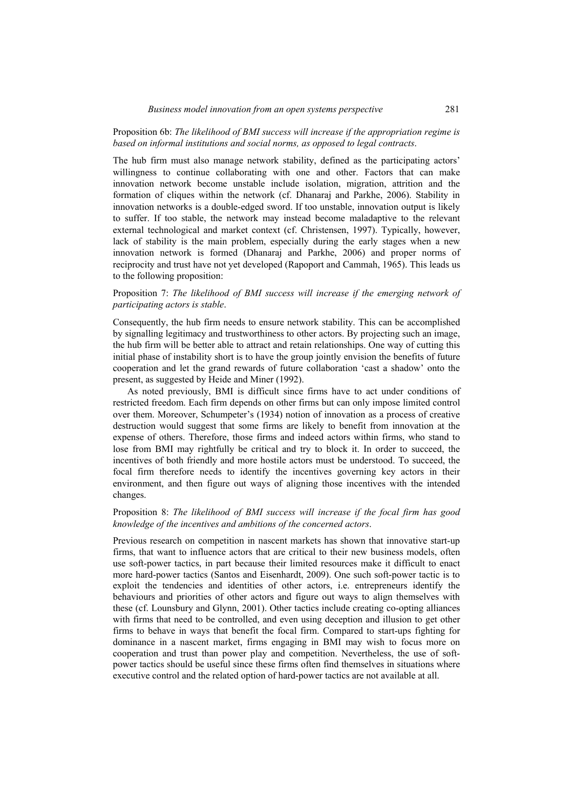# Proposition 6b: *The likelihood of BMI success will increase if the appropriation regime is based on informal institutions and social norms, as opposed to legal contracts*.

The hub firm must also manage network stability, defined as the participating actors' willingness to continue collaborating with one and other. Factors that can make innovation network become unstable include isolation, migration, attrition and the formation of cliques within the network (cf. Dhanaraj and Parkhe, 2006). Stability in innovation networks is a double-edged sword. If too unstable, innovation output is likely to suffer. If too stable, the network may instead become maladaptive to the relevant external technological and market context (cf. Christensen, 1997). Typically, however, lack of stability is the main problem, especially during the early stages when a new innovation network is formed (Dhanaraj and Parkhe, 2006) and proper norms of reciprocity and trust have not yet developed (Rapoport and Cammah, 1965). This leads us to the following proposition:

# Proposition 7: *The likelihood of BMI success will increase if the emerging network of participating actors is stable*.

Consequently, the hub firm needs to ensure network stability. This can be accomplished by signalling legitimacy and trustworthiness to other actors. By projecting such an image, the hub firm will be better able to attract and retain relationships. One way of cutting this initial phase of instability short is to have the group jointly envision the benefits of future cooperation and let the grand rewards of future collaboration 'cast a shadow' onto the present, as suggested by Heide and Miner (1992).

As noted previously, BMI is difficult since firms have to act under conditions of restricted freedom. Each firm depends on other firms but can only impose limited control over them. Moreover, Schumpeter's (1934) notion of innovation as a process of creative destruction would suggest that some firms are likely to benefit from innovation at the expense of others. Therefore, those firms and indeed actors within firms, who stand to lose from BMI may rightfully be critical and try to block it. In order to succeed, the incentives of both friendly and more hostile actors must be understood. To succeed, the focal firm therefore needs to identify the incentives governing key actors in their environment, and then figure out ways of aligning those incentives with the intended changes.

# Proposition 8: *The likelihood of BMI success will increase if the focal firm has good knowledge of the incentives and ambitions of the concerned actors*.

Previous research on competition in nascent markets has shown that innovative start-up firms, that want to influence actors that are critical to their new business models, often use soft-power tactics, in part because their limited resources make it difficult to enact more hard-power tactics (Santos and Eisenhardt, 2009). One such soft-power tactic is to exploit the tendencies and identities of other actors, i.e. entrepreneurs identify the behaviours and priorities of other actors and figure out ways to align themselves with these (cf. Lounsbury and Glynn, 2001). Other tactics include creating co-opting alliances with firms that need to be controlled, and even using deception and illusion to get other firms to behave in ways that benefit the focal firm. Compared to start-ups fighting for dominance in a nascent market, firms engaging in BMI may wish to focus more on cooperation and trust than power play and competition. Nevertheless, the use of softpower tactics should be useful since these firms often find themselves in situations where executive control and the related option of hard-power tactics are not available at all.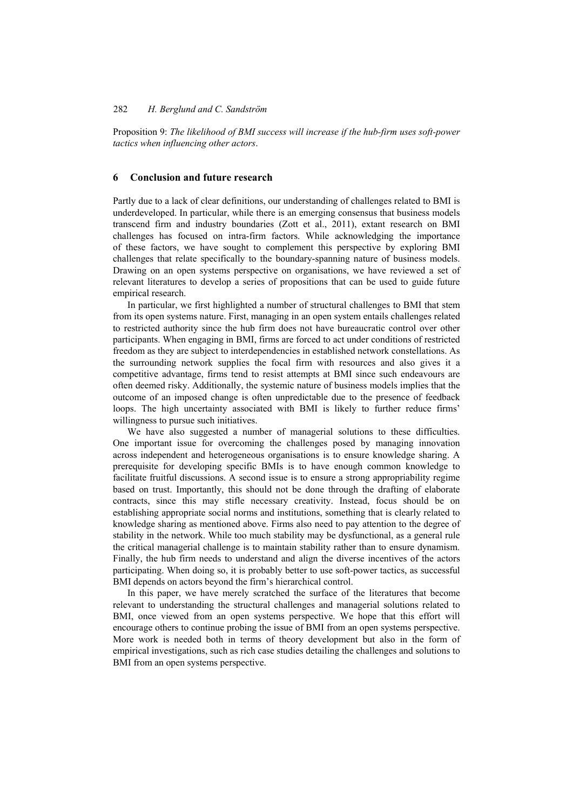Proposition 9: *The likelihood of BMI success will increase if the hub-firm uses soft-power tactics when influencing other actors*.

### **6 Conclusion and future research**

Partly due to a lack of clear definitions, our understanding of challenges related to BMI is underdeveloped. In particular, while there is an emerging consensus that business models transcend firm and industry boundaries (Zott et al., 2011), extant research on BMI challenges has focused on intra-firm factors. While acknowledging the importance of these factors, we have sought to complement this perspective by exploring BMI challenges that relate specifically to the boundary-spanning nature of business models. Drawing on an open systems perspective on organisations, we have reviewed a set of relevant literatures to develop a series of propositions that can be used to guide future empirical research.

In particular, we first highlighted a number of structural challenges to BMI that stem from its open systems nature. First, managing in an open system entails challenges related to restricted authority since the hub firm does not have bureaucratic control over other participants. When engaging in BMI, firms are forced to act under conditions of restricted freedom as they are subject to interdependencies in established network constellations. As the surrounding network supplies the focal firm with resources and also gives it a competitive advantage, firms tend to resist attempts at BMI since such endeavours are often deemed risky. Additionally, the systemic nature of business models implies that the outcome of an imposed change is often unpredictable due to the presence of feedback loops. The high uncertainty associated with BMI is likely to further reduce firms' willingness to pursue such initiatives.

We have also suggested a number of managerial solutions to these difficulties. One important issue for overcoming the challenges posed by managing innovation across independent and heterogeneous organisations is to ensure knowledge sharing. A prerequisite for developing specific BMIs is to have enough common knowledge to facilitate fruitful discussions. A second issue is to ensure a strong appropriability regime based on trust. Importantly, this should not be done through the drafting of elaborate contracts, since this may stifle necessary creativity. Instead, focus should be on establishing appropriate social norms and institutions, something that is clearly related to knowledge sharing as mentioned above. Firms also need to pay attention to the degree of stability in the network. While too much stability may be dysfunctional, as a general rule the critical managerial challenge is to maintain stability rather than to ensure dynamism. Finally, the hub firm needs to understand and align the diverse incentives of the actors participating. When doing so, it is probably better to use soft-power tactics, as successful BMI depends on actors beyond the firm's hierarchical control.

In this paper, we have merely scratched the surface of the literatures that become relevant to understanding the structural challenges and managerial solutions related to BMI, once viewed from an open systems perspective. We hope that this effort will encourage others to continue probing the issue of BMI from an open systems perspective. More work is needed both in terms of theory development but also in the form of empirical investigations, such as rich case studies detailing the challenges and solutions to BMI from an open systems perspective.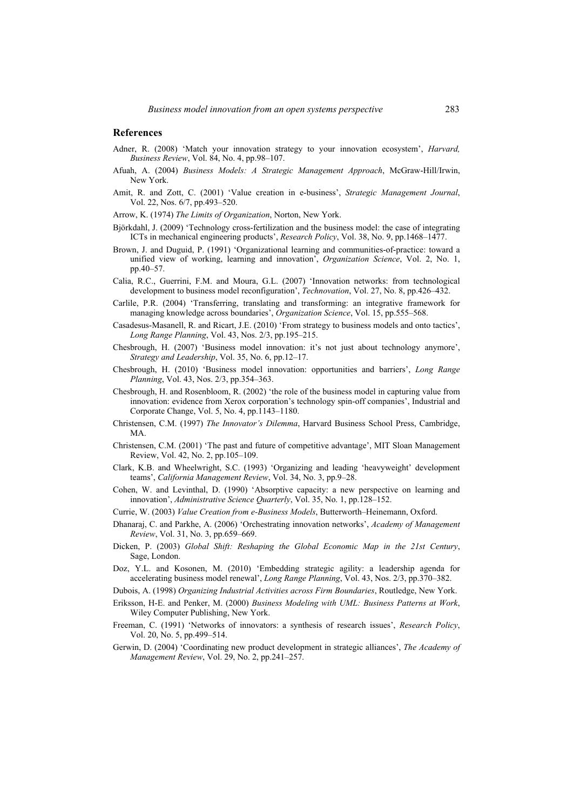#### **References**

- Adner, R. (2008) 'Match your innovation strategy to your innovation ecosystem', *Harvard, Business Review*, Vol. 84, No. 4, pp.98–107.
- Afuah, A. (2004) *Business Models: A Strategic Management Approach*, McGraw-Hill/Irwin, New York.
- Amit, R. and Zott, C. (2001) 'Value creation in e-business', *Strategic Management Journal*, Vol. 22, Nos. 6/7, pp.493–520.
- Arrow, K. (1974) *The Limits of Organization*, Norton, New York.
- Björkdahl, J. (2009) 'Technology cross-fertilization and the business model: the case of integrating ICTs in mechanical engineering products', *Research Policy*, Vol. 38, No. 9, pp.1468–1477.
- Brown, J. and Duguid, P. (1991) 'Organizational learning and communities-of-practice: toward a unified view of working, learning and innovation', *Organization Science*, Vol. 2, No. 1, pp.40–57.
- Calia, R.C., Guerrini, F.M. and Moura, G.L. (2007) 'Innovation networks: from technological development to business model reconfiguration', *Technovation*, Vol. 27, No. 8, pp.426–432.
- Carlile, P.R. (2004) 'Transferring, translating and transforming: an integrative framework for managing knowledge across boundaries', *Organization Science*, Vol. 15, pp.555–568.
- Casadesus-Masanell, R. and Ricart, J.E. (2010) 'From strategy to business models and onto tactics', *Long Range Planning*, Vol. 43, Nos. 2/3, pp.195–215.
- Chesbrough, H. (2007) 'Business model innovation: it's not just about technology anymore', *Strategy and Leadership*, Vol. 35, No. 6, pp.12–17.
- Chesbrough, H. (2010) 'Business model innovation: opportunities and barriers', *Long Range Planning*, Vol. 43, Nos. 2/3, pp.354–363.
- Chesbrough, H. and Rosenbloom, R. (2002) 'the role of the business model in capturing value from innovation: evidence from Xerox corporation's technology spin-off companies', Industrial and Corporate Change, Vol. 5, No. 4, pp.1143–1180.
- Christensen, C.M. (1997) *The Innovator's Dilemma*, Harvard Business School Press, Cambridge, MA.
- Christensen, C.M. (2001) 'The past and future of competitive advantage', MIT Sloan Management Review, Vol. 42, No. 2, pp.105–109.
- Clark, K.B. and Wheelwright, S.C. (1993) 'Organizing and leading 'heavyweight' development teams', *California Management Review*, Vol. 34, No. 3, pp.9–28.
- Cohen, W. and Levinthal, D. (1990) 'Absorptive capacity: a new perspective on learning and innovation', *Administrative Science Quarterly*, Vol. 35, No. 1, pp.128–152.
- Currie, W. (2003) *Value Creation from e-Business Models*, Butterworth–Heinemann, Oxford.
- Dhanaraj, C. and Parkhe, A. (2006) 'Orchestrating innovation networks', *Academy of Management Review*, Vol. 31, No. 3, pp.659–669.
- Dicken, P. (2003) *Global Shift: Reshaping the Global Economic Map in the 21st Century*, Sage, London.
- Doz, Y.L. and Kosonen, M. (2010) 'Embedding strategic agility: a leadership agenda for accelerating business model renewal', *Long Range Planning*, Vol. 43, Nos. 2/3, pp.370–382.
- Dubois, A. (1998) *Organizing Industrial Activities across Firm Boundaries*, Routledge, New York.
- Eriksson, H-E. and Penker, M. (2000) *Business Modeling with UML: Business Patterns at Work*, Wiley Computer Publishing, New York.
- Freeman, C. (1991) 'Networks of innovators: a synthesis of research issues', *Research Policy*, Vol. 20, No. 5, pp.499–514.
- Gerwin, D. (2004) 'Coordinating new product development in strategic alliances', *The Academy of Management Review*, Vol. 29, No. 2, pp.241–257.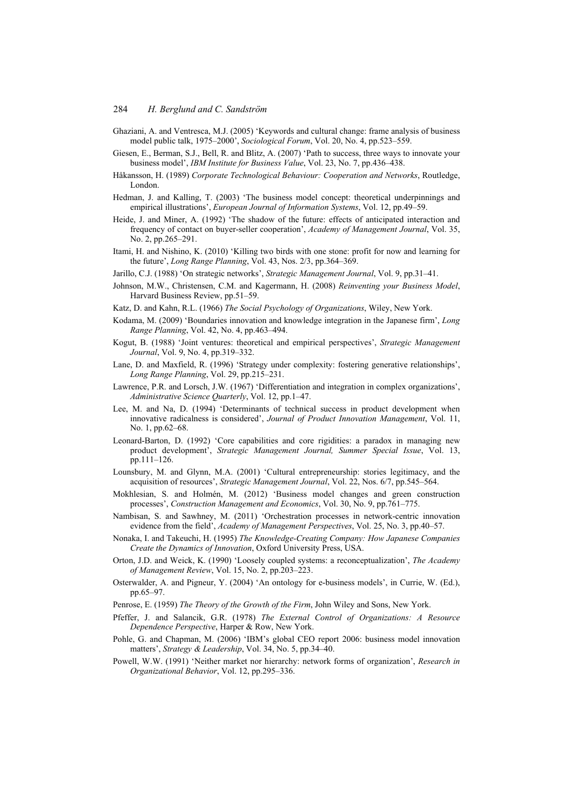- Ghaziani, A. and Ventresca, M.J. (2005) 'Keywords and cultural change: frame analysis of business model public talk, 1975–2000', *Sociological Forum*, Vol. 20, No. 4, pp.523–559.
- Giesen, E., Berman, S.J., Bell, R. and Blitz, A. (2007) 'Path to success, three ways to innovate your business model', *IBM Institute for Business Value*, Vol. 23, No. 7, pp.436–438.
- Håkansson, H. (1989) *Corporate Technological Behaviour: Cooperation and Networks*, Routledge, London.
- Hedman, J. and Kalling, T. (2003) 'The business model concept: theoretical underpinnings and empirical illustrations', *European Journal of Information Systems*, Vol. 12, pp.49–59.
- Heide, J. and Miner, A. (1992) 'The shadow of the future: effects of anticipated interaction and frequency of contact on buyer-seller cooperation', *Academy of Management Journal*, Vol. 35, No. 2, pp.265–291.
- Itami, H. and Nishino, K. (2010) 'Killing two birds with one stone: profit for now and learning for the future', *Long Range Planning*, Vol. 43, Nos. 2/3, pp.364–369.
- Jarillo, C.J. (1988) 'On strategic networks', *Strategic Management Journal*, Vol. 9, pp.31–41.
- Johnson, M.W., Christensen, C.M. and Kagermann, H. (2008) *Reinventing your Business Model*, Harvard Business Review, pp.51–59.
- Katz, D. and Kahn, R.L. (1966) *The Social Psychology of Organizations*, Wiley, New York.
- Kodama, M. (2009) 'Boundaries innovation and knowledge integration in the Japanese firm', *Long Range Planning*, Vol. 42, No. 4, pp.463–494.
- Kogut, B. (1988) 'Joint ventures: theoretical and empirical perspectives', *Strategic Management Journal*, Vol. 9, No. 4, pp.319–332.
- Lane, D. and Maxfield, R. (1996) 'Strategy under complexity: fostering generative relationships', *Long Range Planning*, Vol. 29, pp.215–231.
- Lawrence, P.R. and Lorsch, J.W. (1967) 'Differentiation and integration in complex organizations', *Administrative Science Quarterly*, Vol. 12, pp.1–47.
- Lee, M. and Na, D. (1994) 'Determinants of technical success in product development when innovative radicalness is considered', *Journal of Product Innovation Management*, Vol. 11, No. 1, pp.62–68.
- Leonard-Barton, D. (1992) 'Core capabilities and core rigidities: a paradox in managing new product development', *Strategic Management Journal, Summer Special Issue*, Vol. 13, pp.111–126.
- Lounsbury, M. and Glynn, M.A. (2001) 'Cultural entrepreneurship: stories legitimacy, and the acquisition of resources', *Strategic Management Journal*, Vol. 22, Nos. 6/7, pp.545–564.
- Mokhlesian, S. and Holmén, M. (2012) 'Business model changes and green construction processes', *Construction Management and Economics*, Vol. 30, No. 9, pp.761–775.
- Nambisan, S. and Sawhney, M. (2011) 'Orchestration processes in network-centric innovation evidence from the field', *Academy of Management Perspectives*, Vol. 25, No. 3, pp.40–57.
- Nonaka, I. and Takeuchi, H. (1995) *The Knowledge-Creating Company: How Japanese Companies Create the Dynamics of Innovation*, Oxford University Press, USA.
- Orton, J.D. and Weick, K. (1990) 'Loosely coupled systems: a reconceptualization', *The Academy of Management Review*, Vol. 15, No. 2, pp.203–223.
- Osterwalder, A. and Pigneur, Y. (2004) 'An ontology for e-business models', in Currie, W. (Ed.), pp.65–97.
- Penrose, E. (1959) *The Theory of the Growth of the Firm*, John Wiley and Sons, New York.
- Pfeffer, J. and Salancik, G.R. (1978) *The External Control of Organizations: A Resource Dependence Perspective*, Harper & Row, New York.
- Pohle, G. and Chapman, M. (2006) 'IBM's global CEO report 2006: business model innovation matters', *Strategy & Leadership*, Vol. 34, No. 5, pp.34–40.
- Powell, W.W. (1991) 'Neither market nor hierarchy: network forms of organization', *Research in Organizational Behavior*, Vol. 12, pp.295–336.